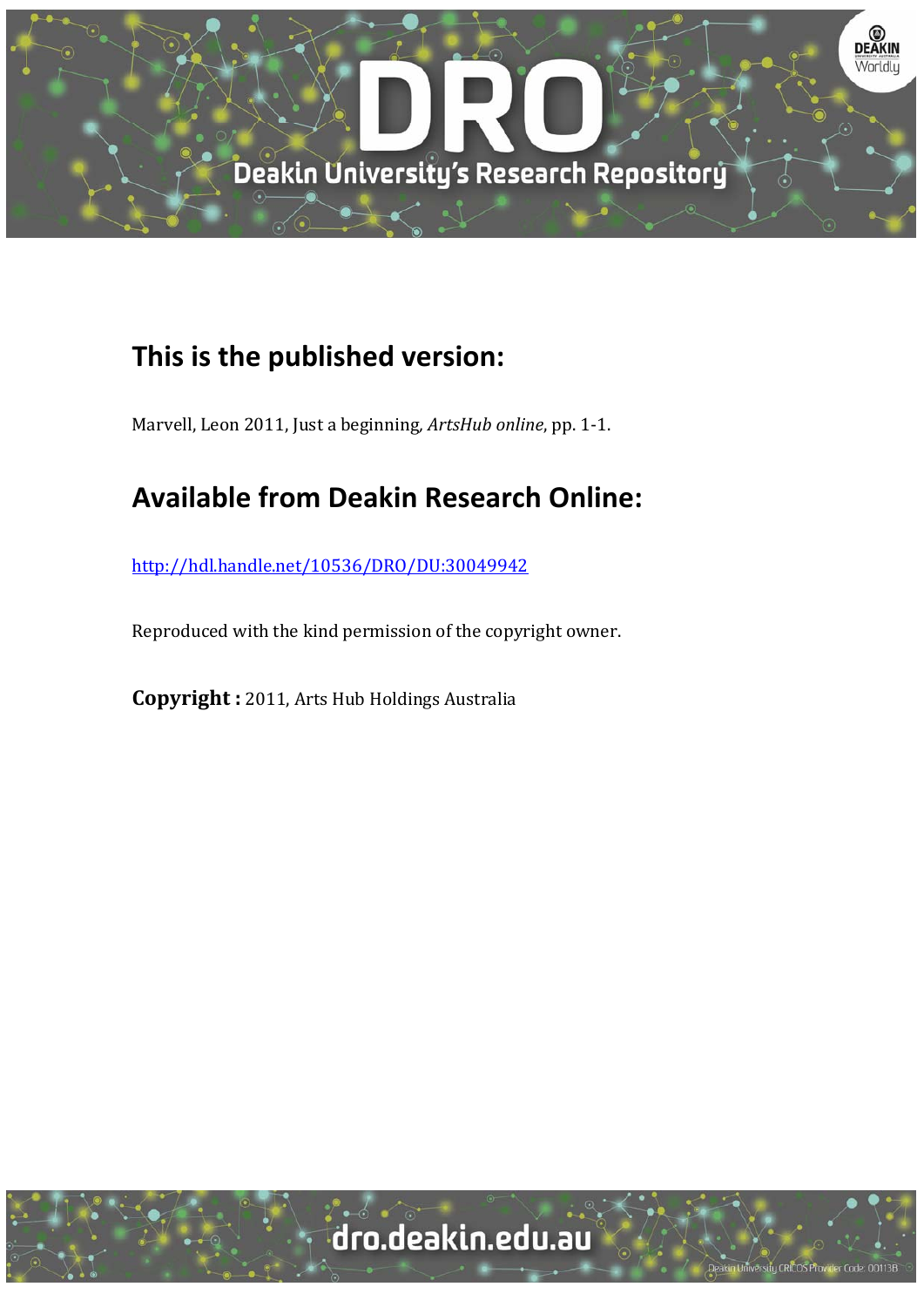

## **This is the published version:**

Marvell, Leon 2011, Just a beginning, ArtsHub online, pp. 1-1.

## **Available from Deakin Research Online:**

http://hdl.handle.net/10536/DRO/DU:30049942

Reproduced with the kind permission of the copyright owner.

**Copyright** : 2011, Arts Hub Holdings Australia

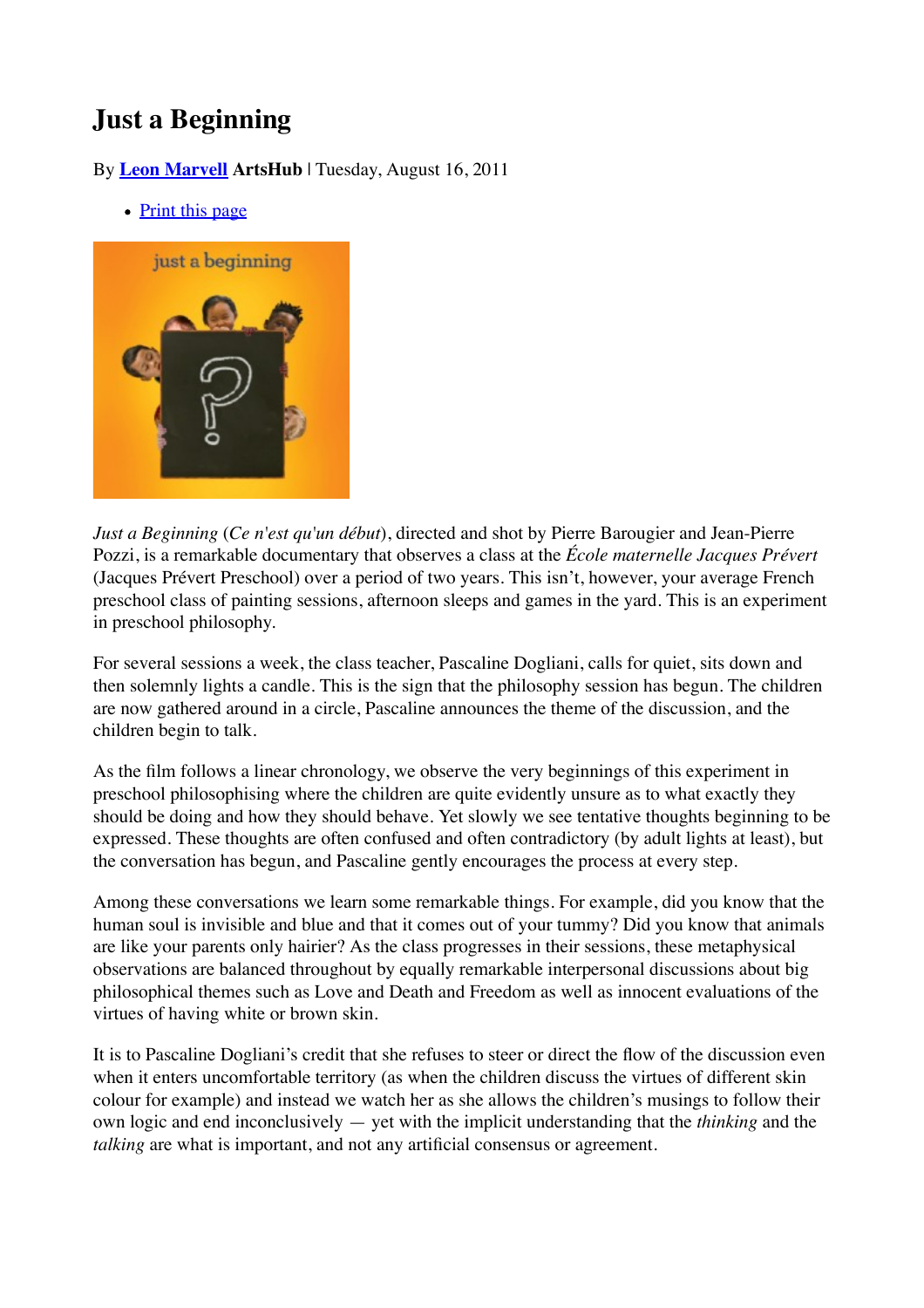## **Just a Beginning**

By **Leon Marvell ArtsHub** | Tuesday, August 16, 2011

• Print this page



*Just a Beginning* (*Ce n'est qu'un début*), directed and shot by Pierre Barougier and Jean-Pierre Pozzi, is a remarkable documentary that observes a class at the *École maternelle Jacques Prévert* (Jacques Prévert Preschool) over a period of two years. This isn't, however, your average French preschool class of painting sessions, afternoon sleeps and games in the yard. This is an experiment in preschool philosophy.

For several sessions a week, the class teacher, Pascaline Dogliani, calls for quiet, sits down and then solemnly lights a candle. This is the sign that the philosophy session has begun. The children are now gathered around in a circle, Pascaline announces the theme of the discussion, and the children begin to talk.

As the film follows a linear chronology, we observe the very beginnings of this experiment in preschool philosophising where the children are quite evidently unsure as to what exactly they should be doing and how they should behave. Yet slowly we see tentative thoughts beginning to be expressed. These thoughts are often confused and often contradictory (by adult lights at least), but the conversation has begun, and Pascaline gently encourages the process at every step.

Among these conversations we learn some remarkable things. For example, did you know that the human soul is invisible and blue and that it comes out of your tummy? Did you know that animals are like your parents only hairier? As the class progresses in their sessions, these metaphysical observations are balanced throughout by equally remarkable interpersonal discussions about big philosophical themes such as Love and Death and Freedom as well as innocent evaluations of the virtues of having white or brown skin.

It is to Pascaline Dogliani's credit that she refuses to steer or direct the flow of the discussion even when it enters uncomfortable territory (as when the children discuss the virtues of different skin colour for example) and instead we watch her as she allows the children's musings to follow their own logic and end inconclusively — yet with the implicit understanding that the *thinking* and the *talking* are what is important, and not any artificial consensus or agreement.